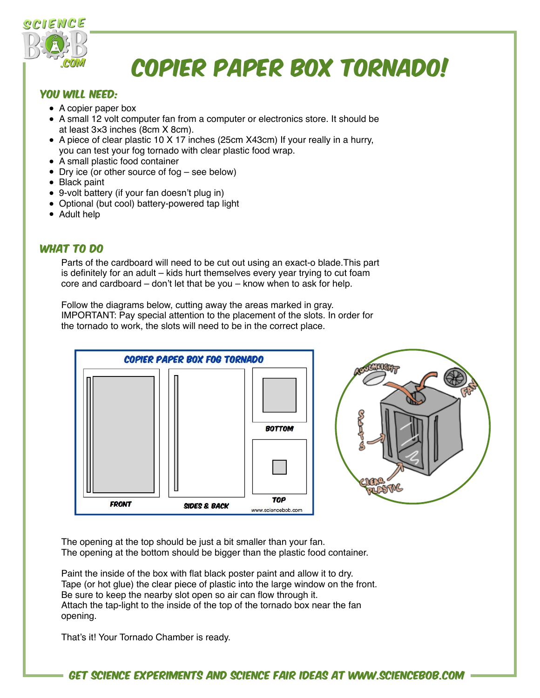

## Copier Paper Box tornado!

## YOU WILL NEED:

- A copier paper box
- A small 12 volt computer fan from a computer or electronics store. It should be at least 3×3 inches (8cm X 8cm).
- A piece of clear plastic 10 X 17 inches (25cm X43cm) If your really in a hurry, you can test your fog tornado with clear plastic food wrap.
- A small plastic food container
- Dry ice (or other source of fog see below)
- Black paint
- 9-volt battery (if your fan doesn't plug in)
- Optional (but cool) battery-powered tap light
- Adult help

## WHAT TO DO

Parts of the cardboard will need to be cut out using an exact-o blade.This part is definitely for an adult – kids hurt themselves every year trying to cut foam core and cardboard – don't let that be you – know when to ask for help.

Follow the diagrams below, cutting away the areas marked in gray. IMPORTANT: Pay special attention to the placement of the slots. In order for the tornado to work, the slots will need to be in the correct place.





The opening at the top should be just a bit smaller than your fan. The opening at the bottom should be bigger than the plastic food container.

Paint the inside of the box with flat black poster paint and allow it to dry. Tape (or hot glue) the clear piece of plastic into the large window on the front. Be sure to keep the nearby slot open so air can flow through it. Attach the tap-light to the inside of the top of the tornado box near the fan opening.

That's it! Your Tornado Chamber is ready.